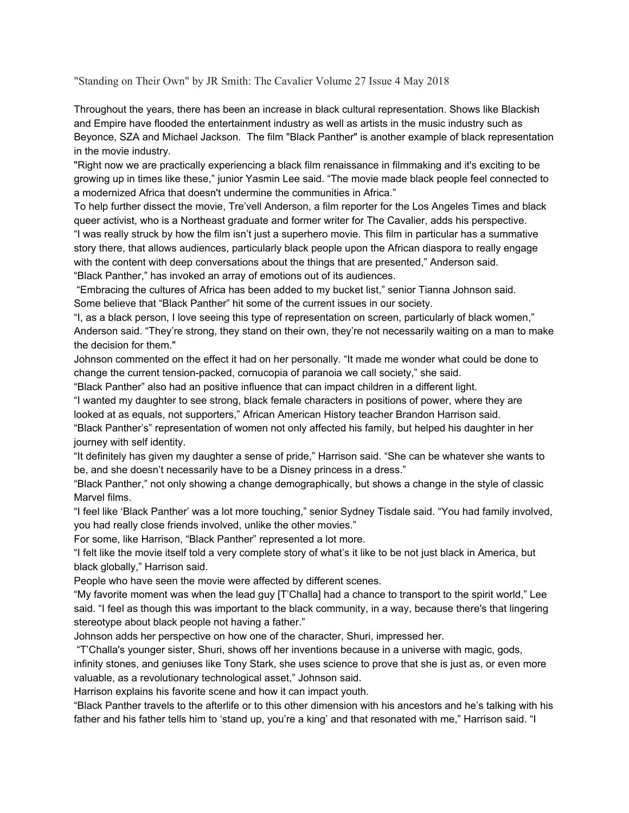"Standing on Their Own" by JR Smith: The Cavalier Volume 27 Issue 4 May 2018

Throughout the years, there has been an increase in black cultural representation. Shows like Blackish and Empire have flooded the entertainment industry as well as artists in the music industry such as Beyonce, SZA and Michael Jackson. The film "Black Panther" is another example of black representation in the movie industry.

"Right now we are practically experiencing a black film renaissance in filmmaking and it's exciting to be growing up in times like these," junior Yasmin Lee said. "The movie made black people feel connected to a modernized Africa that doesn't undermine the communities in Africa."

To help further dissect the movie, Tre'vell Anderson, a film reporter for the Los Angeles Times and black queer activist, who is a Northeast graduate and former writer for The Cavalier, adds his perspective. "I was really struck by how the film isn't just a superhero movie. This film in particular has a summative story there, that allows audiences, particularly black people upon the African diaspora to really engage with the content with deep conversations about the things that are presented," Anderson said. "Black Panther," has invoked an array of emotions out of its audiences.

"Embracing the cultures of Africa has been added to my bucket list," senior Tianna Johnson said. Some believe that "Black Panther" hit some of the current issues in our society.

"I, as a black person, I love seeing this type of representation on screen, particularly of black women," Anderson said. "They're strong, they stand on their own, they're not necessarily waiting on a man to make the decision for them."

Johnson commented on the effect it had on her personally. "It made me wonder what could be done to change the current tension-packed, cornucopia of paranoia we call society," she said.

"Black Panther" also had an positive influence that can impact children in a different light.

"I wanted my daughter to see strong, black female characters in positions of power, where they are looked at as equals, not supporters," African American History teacher Brandon Harrison said.

"Black Panther's" representation of women not only affected his family, but helped his daughter in her journey with self identity.

"It definitely has given my daughter a sense of pride," Harrison said. "She can be whatever she wants to be, and she doesn't necessarily have to be a Disney princess in a dress."

"Black Panther," not only showing a change demographically, but shows a change in the style of classic Marvel films.

"I feel like 'Black Panther' was a lot more touching," senior Sydney Tisdale said. "You had family involved, you had really close friends involved, unlike the other movies."

For some, like Harrison, "Black Panther" represented a lot more.

"I felt like the movie itself told a very complete story of what's it like to be not just black in America, but black globally," Harrison said.

People who have seen the movie were affected by different scenes.

"My favorite moment was when the lead guy [T'Challa] had a chance to transport to the spirit world," Lee said. "I feel as though this was important to the black community, in a way, because there's that lingering stereotype about black people not having a father."

Johnson adds her perspective on how one of the character, Shuri, impressed her.

"T'Challa's younger sister, Shuri, shows off her inventions because in a universe with magic, gods, infinity stones, and geniuses like Tony Stark, she uses science to prove that she is just as, or even more valuable, as a revolutionary technological asset," Johnson said.

Harrison explains his favorite scene and how it can impact youth.

"Black Panther travels to the afterlife or to this other dimension with his ancestors and he's talking with his father and his father tells him to 'stand up, you're a king' and that resonated with me," Harrison said. "I